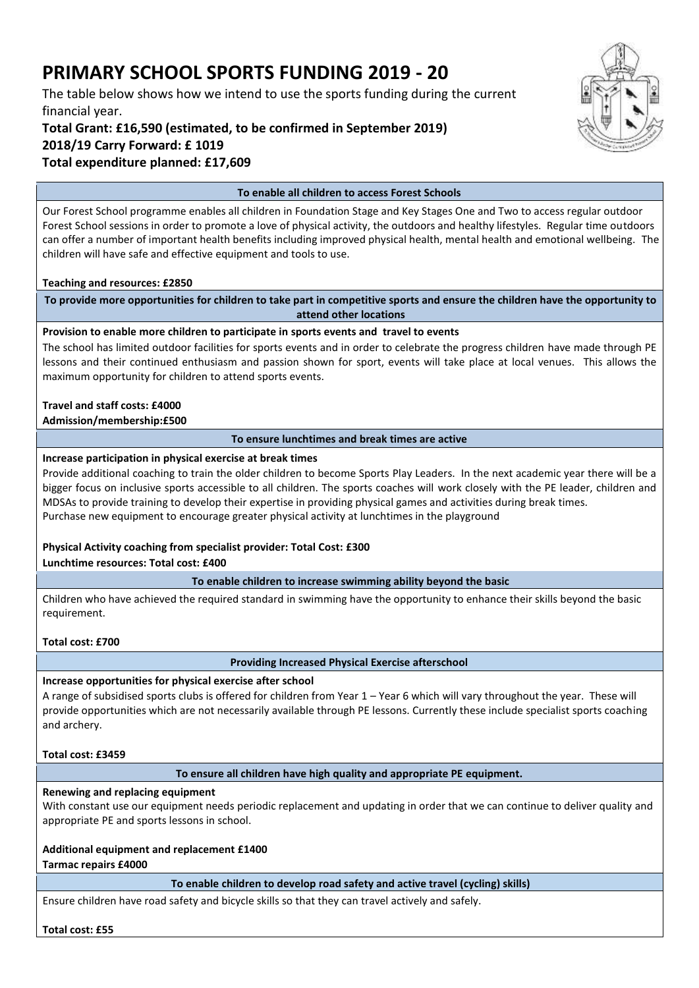# **PRIMARY SCHOOL SPORTS FUNDING 2019 - 20**

The table below shows how we intend to use the sports funding during the current financial year.

**Total Grant: £16,590 (estimated, to be confirmed in September 2019) 2018/19 Carry Forward: £ 1019 Total expenditure planned: £17,609**



#### **To enable all children to access Forest Schools**

Our Forest School programme enables all children in Foundation Stage and Key Stages One and Two to access regular outdoor Forest School sessions in order to promote a love of physical activity, the outdoors and healthy lifestyles. Regular time outdoors can offer a number of important health benefits including improved physical health, mental health and emotional wellbeing. The children will have safe and effective equipment and tools to use.

#### **Teaching and resources: £2850**

**To provide more opportunities for children to take part in competitive sports and ensure the children have the opportunity to attend other locations**

#### **Provision to enable more children to participate in sports events and travel to events**

The school has limited outdoor facilities for sports events and in order to celebrate the progress children have made through PE lessons and their continued enthusiasm and passion shown for sport, events will take place at local venues. This allows the maximum opportunity for children to attend sports events.

#### **Travel and staff costs: £4000**

#### **Admission/membership:£500**

#### **To ensure lunchtimes and break times are active**

#### **Increase participation in physical exercise at break times**

Provide additional coaching to train the older children to become Sports Play Leaders. In the next academic year there will be a bigger focus on inclusive sports accessible to all children. The sports coaches will work closely with the PE leader, children and MDSAs to provide training to develop their expertise in providing physical games and activities during break times. Purchase new equipment to encourage greater physical activity at lunchtimes in the playground

#### **Physical Activity coaching from specialist provider: Total Cost: £300**

**Lunchtime resources: Total cost: £400**

#### **To enable children to increase swimming ability beyond the basic**

Children who have achieved the required standard in swimming have the opportunity to enhance their skills beyond the basic requirement.

#### **Total cost: £700**

#### **Providing Increased Physical Exercise afterschool**

#### **Increase opportunities for physical exercise after school**

A range of subsidised sports clubs is offered for children from Year 1 – Year 6 which will vary throughout the year. These will provide opportunities which are not necessarily available through PE lessons. Currently these include specialist sports coaching and archery.

#### **Total cost: £3459**

#### **To ensure all children have high quality and appropriate PE equipment.**

#### **Renewing and replacing equipment**

With constant use our equipment needs periodic replacement and updating in order that we can continue to deliver quality and appropriate PE and sports lessons in school.

#### **Additional equipment and replacement £1400**

**Tarmac repairs £4000**

**To enable children to develop road safety and active travel (cycling) skills)**

Ensure children have road safety and bicycle skills so that they can travel actively and safely.

#### **Total cost: £55**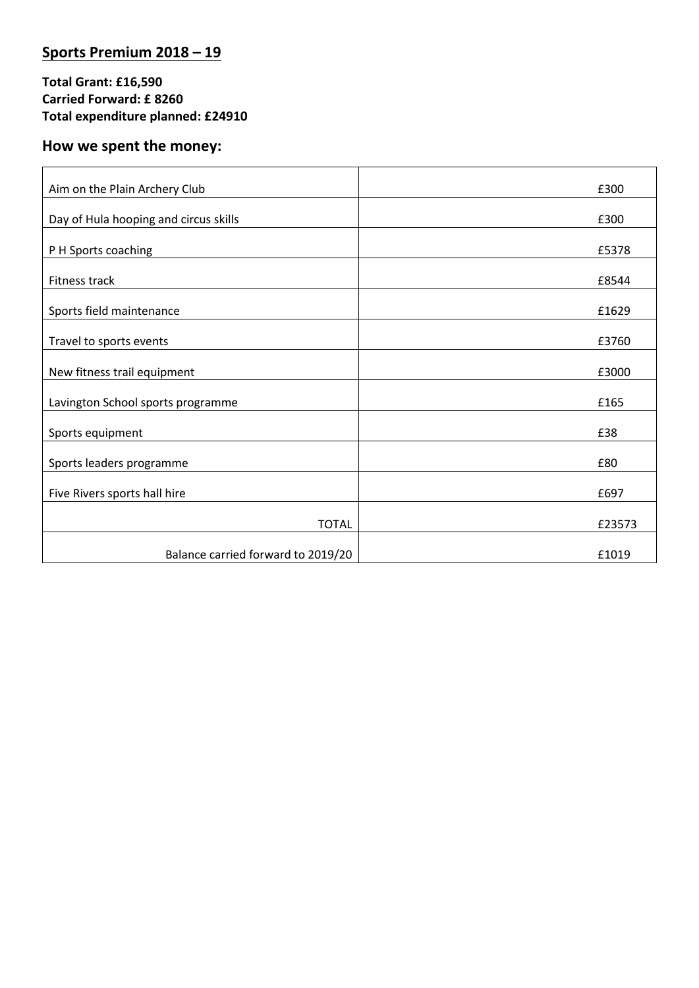# **Sports Premium 2018 – 19**

### **Total Grant: £16,590 Carried Forward: £ 8260 Total expenditure planned: £24910**

# **How we spent the money:**

| Aim on the Plain Archery Club         | £300   |
|---------------------------------------|--------|
| Day of Hula hooping and circus skills | £300   |
| P H Sports coaching                   | £5378  |
| Fitness track                         | £8544  |
| Sports field maintenance              | £1629  |
| Travel to sports events               | £3760  |
| New fitness trail equipment           | £3000  |
| Lavington School sports programme     | £165   |
| Sports equipment                      | £38    |
| Sports leaders programme              | £80    |
| Five Rivers sports hall hire          | £697   |
| <b>TOTAL</b>                          | £23573 |
| Balance carried forward to 2019/20    | £1019  |